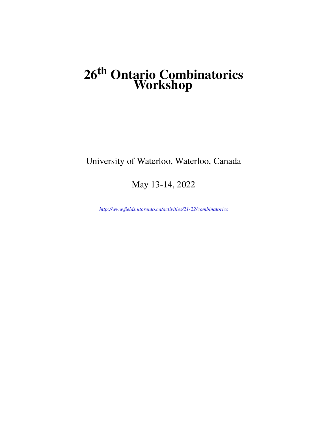# **26th Ontario Combinatorics Workshop**

## University of Waterloo, Waterloo, Canada

May 13-14, 2022

*<http://www.fields.utoronto.ca/activities/21-22/combinatorics>*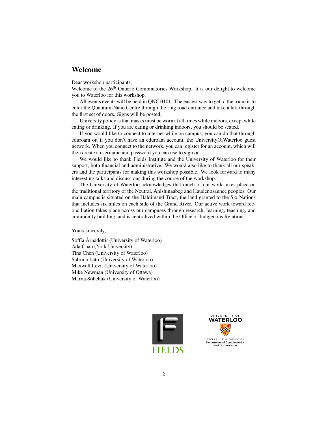### **Welcome**

Dear workshop participants,

Welcome to the 26<sup>th</sup> Ontario Combinatorics Workshop. It is our delight to welcome you to Waterloo for this workshop.

All events events will be held in QNC 0101. The easiest way to get to the room is to enter the Quantum-Nano Centre through the ring road entrance and take a left through the first set of doors. Signs will be posted.

University policy is that masks must be worn at all times while indoors, except while eating or drinking. If you are eating or drinking indoors, you should be seated.

If you would like to connect to internet while on campus, you can do that through eduroam or, if you don't have an eduroam account, the UniversityOfWaterloo guest network. When you connect to the network, you can register for an account, which will then create a username and password you can use to sign on.

We would like to thank Fields Institute and the University of Waterloo for their support, both financial and administrative. We would also like to thank all our speakers and the participants for making this workshop possible. We look forward to many interesting talks and discussions during the course of the workshop.

The University of Waterloo acknowledges that much of our work takes place on the traditional territory of the Neutral, Anishinaabeg and Haudenosaunee peoples. Our main campus is situated on the Haldimand Tract, the land granted to the Six Nations that includes six miles on each side of the Grand River. Our active work toward reconciliation takes place across our campuses through research, learning, teaching, and community building, and is centralized within the Office of Indigenous Relations

Yours sincerely,

Soffía Árnadóttir (University of Waterloo) Ada Chan (York University) Tina Chen (University of Waterloo) Sabrina Lato (University of Waterloo) Maxwell Levit (University of Waterloo) Mike Newman (University of Ottawa) Mariia Sobchuk (University of Waterloo)



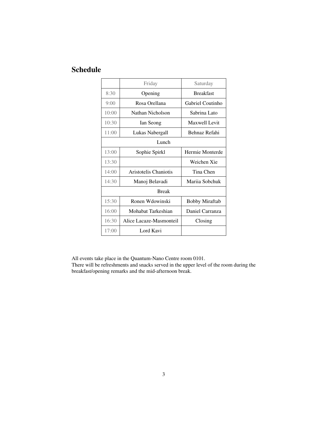## **Schedule**

|              | Friday                  | Saturday              |
|--------------|-------------------------|-----------------------|
| 8:30         | Opening                 | <b>Breakfast</b>      |
| 9:00         | Rosa Orellana           | Gabriel Coutinho      |
| 10:00        | Nathan Nicholson        | Sabrina Lato          |
| 10:30        | Ian Seong               | Maxwell Levit         |
| 11:00        | Lukas Nabergall         | Behnaz Refahi         |
| Lunch        |                         |                       |
| 13:00        | Sophie Spirkl           | Hermie Monterde       |
| 13:30        |                         | Weichen Xie           |
| 14:00        | Aristotelis Chaniotis   | Tina Chen             |
| 14:30        | Manoj Belavadi          | Mariia Sobchuk        |
| <b>Break</b> |                         |                       |
| 15:30        | Ronen Wdowinski         | <b>Bobby Miraftab</b> |
| 16:00        | Mohabat Tarkeshian      | Daniel Carranza       |
| 16:30        | Alice Lacaze-Masmonteil | Closing               |
| 17:00        | Lord Kavi               |                       |

All events take place in the Quantum-Nano Centre room 0101.

There will be refreshments and snacks served in the upper level of the room during the breakfast/opening remarks and the mid-afternoon break.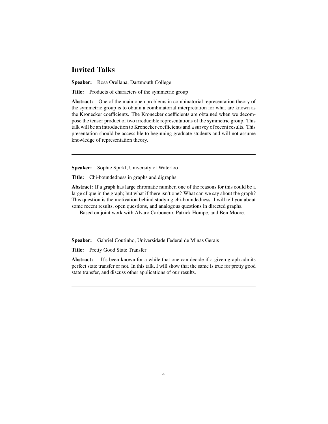## **Invited Talks**

**Speaker:** Rosa Orellana, Dartmouth College

**Title:** Products of characters of the symmetric group

**Abstract:** One of the main open problems in combinatorial representation theory of the symmetric group is to obtain a combinatorial interpretation for what are known as the Kronecker coefficients. The Kronecker coefficients are obtained when we decompose the tensor product of two irreducible representations of the symmetric group. This talk will be an introduction to Kronecker coefficients and a survey of recent results. This presentation should be accessible to beginning graduate students and will not assume knowledge of representation theory.

**Speaker:** Sophie Spirkl, University of Waterloo

**Title:** Chi-boundedness in graphs and digraphs

**Abstract:** If a graph has large chromatic number, one of the reasons for this could be a large clique in the graph; but what if there isn't one? What can we say about the graph? This question is the motivation behind studying chi-boundedness. I will tell you about some recent results, open questions, and analogous questions in directed graphs.

Based on joint work with Alvaro Carbonero, Patrick Hompe, and Ben Moore.

**Speaker:** Gabriel Coutinho, Universidade Federal de Minas Gerais

**Title:** Pretty Good State Transfer

**Abstract:** It's been known for a while that one can decide if a given graph admits perfect state transfer or not. In this talk, I will show that the same is true for pretty good state transfer, and discuss other applications of our results.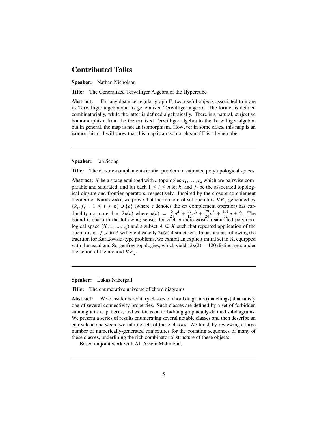## **Contributed Talks**

**Speaker:** Nathan Nicholson

**Title:** The Generalized Terwilliger Algebra of the Hypercube

**Abstract:** For any distance-regular graph Γ, two useful objects associated to it are its Terwilliger algebra and its generalized Terwilliger algebra. The former is defined combinatorially, while the latter is defined algebraically. There is a natural, surjective homomorphism from the Generalized Terwilliger algebra to the Terwilliger algebra, but in general, the map is not an isomorphism. However in some cases, this map is an isomorphism. I will show that this map is an isomorphism if  $\Gamma$  is a hypercube.

**Speaker:** Ian Seong

**Title:** The closure-complement-frontier problem in saturated polytopological spaces

**Abstract:** *X* be a space equipped with *n* topologies  $\tau_1, \ldots, \tau_n$  which are pairwise comparable and saturated, and for each  $1 \le i \le n$  let  $k_i$  and  $f_i$  be the associated topological closure and frontier operators, respectively. Inspired by the closure-complement theorem of Kuratowski, we prove that the monoid of set operators  $\mathcal{K}\mathcal{F}_n$  generated by  $\{k_i, f_i : 1 \le i \le n\} \cup \{c\}$  (where c denotes the set complement operator) has cardinality no more than  $2p(n)$  where  $p(n) = \frac{5}{24}n^4 + \frac{37}{12}n^3 + \frac{79}{24}n^2 + \frac{101}{12}n + 2$ . The bound is sharp in the following sense: for each *n* there exists a saturated polytopological space  $(X, \tau_1, ..., \tau_n)$  and a subset  $A \subseteq X$  such that repeated application of the operators  $k_i$ ,  $f_i$ ,  $c$  to  $A$  will yield exactly  $2p(n)$  distinct sets. In particular, following the tradition for Kuratowski-type problems, we exhibit an explicit initial set in ℝ, equipped with the usual and Sorgenfrey topologies, which yields  $2p(2) = 120$  distinct sets under the action of the monoid  $\mathcal{K}\mathcal{F}_2$ .

**Speaker:** Lukas Nabergall

**Title:** The enumerative universe of chord diagrams

**Abstract:** We consider hereditary classes of chord diagrams (matchings) that satisfy one of several connectivity properties. Such classes are defined by a set of forbidden subdiagrams or patterns, and we focus on forbidding graphically-defined subdiagrams. We present a series of results enumerating several notable classes and then describe an equivalence between two infinite sets of these classes. We finish by reviewing a large number of numerically-generated conjectures for the counting sequences of many of these classes, underlining the rich combinatorial structure of these objects.

Based on joint work with Ali Assem Mahmoud.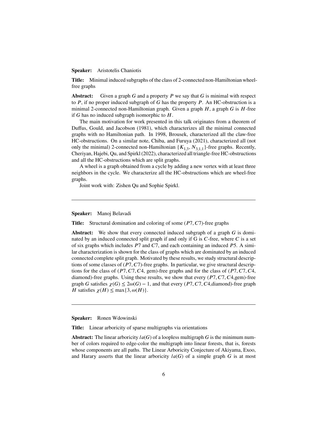#### **Speaker:** Aristotelis Chaniotis

**Title:** Minimal induced subgraphs of the class of 2-connected non-Hamiltonian wheelfree graphs

**Abstract:** Given a graph G and a property P we say that G is minimal with respect to  $P$ , if no proper induced subgraph of  $G$  has the property  $P$ . An HC-obstruction is a minimal 2-connected non-Hamiltonian graph. Given a graph  $H$ , a graph  $G$  is  $H$ -free if  $G$  has no induced subgraph isomorphic to  $H$ .

The main motivation for work presented in this talk originates from a theorem of Duffus, Gould, and Jacobson (1981), which characterizes all the minimal connected graphs with no Hamiltonian path. In 1998, Brousek, characterized all the claw-free HC-obstructions. On a similar note, Chiba, and Furuya (2021), characterized all (not only the minimal) 2-connected non-Hamiltonian  $\{K_{1,3}, N_{3,1,1}\}$ -free graphs. Recently, Cheriyan, Hajebi, Qu, and Spirkl (2022), characterized all triangle-free HC-obstructions and all the HC-obstructions which are split graphs.

A wheel is a graph obtained from a cycle by adding a new vertex with at least three neighbors in the cycle. We characterize all the HC-obstructions which are wheel-free graphs.

Joint work with: Zishen Qu and Sophie Spirkl.

#### **Speaker:** Manoj Belavadi

**Title:** Structural domination and coloring of some (P7, C7)-free graphs

**Abstract:** We show that every connected induced subgraph of a graph  $G$  is dominated by an induced connected split graph if and only if G is  $C$ -free, where  $C$  is a set of six graphs which includes  $P7$  and  $C7$ , and each containing an induced  $P5$ . A similar characterization is shown for the class of graphs which are dominated by an induced connected complete split graph. Motivated by these results, we study structural descriptions of some classes of  $(P7, C7)$ -free graphs. In particular, we give structural descriptions for the class of  $(P7, C7, C4, \text{gem})$ -free graphs and for the class of  $(P7, C7, C4, \text{rem})$ diamond)-free graphs. Using these results, we show that every  $(P7, C7, C4, \text{gen})$ -free graph G satisfies  $\chi(G) \leq 2\omega(G) - 1$ , and that every (P7, C7, C4,diamond)-free graph H satisfies  $\chi(H) \le \max\{3, \omega(H)\}.$ 

#### **Speaker:** Ronen Wdowinski

**Title:** Linear arboricity of sparse multigraphs via orientations

**Abstract:** The linear arboricity  $la(G)$  of a loopless multigraph G is the minimum number of colors required to edge-color the multigraph into linear forests, that is, forests whose components are all paths. The Linear Arboricity Conjecture of Akiyama, Exoo, and Harary asserts that the linear arboricity  $la(G)$  of a simple graph G is at most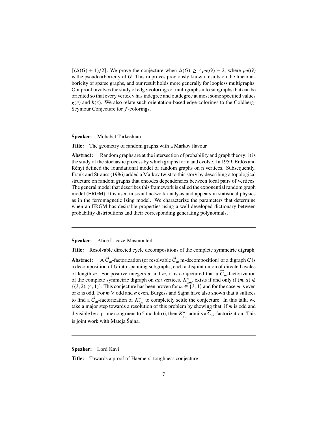$\lceil (\Delta(G) + 1)/2 \rceil$ . We prove the conjecture when  $\Delta(G) \geq 4pa(G) - 2$ , where pa(G) is the pseudoarboricity of  $G$ . This improves previously known results on the linear arboricity of sparse graphs, and our result holds more generally for loopless multigraphs. Our proof involves the study of edge-colorings of multigraphs into subgraphs that can be oriented so that every vertex v has indegree and outdegree at most some specified values  $g(v)$  and  $h(v)$ . We also relate such orientation-based edge-colorings to the Goldberg-Seymour Conjecture for  $f$ -colorings.

**Speaker:** Mohabat Tarkeshian

**Title:** The geometry of random graphs with a Markov flavour

**Abstract:** Random graphs are at the intersection of probability and graph theory: it is the study of the stochastic process by which graphs form and evolve. In 1959, Erdős and Rényi defined the foundational model of random graphs on n vertices. Subsequently, Frank and Strauss (1986) added a Markov twist to this story by describing a topological structure on random graphs that encodes dependencies between local pairs of vertices. The general model that describes this framework is called the exponential random graph model (ERGM). It is used in social network analysis and appears in statistical physics as in the ferromagnetic Ising model. We characterize the parameters that determine when an ERGM has desirable properties using a well-developed dictionary between probability distributions and their corresponding generating polynomials.

**Speaker:** Alice Lacaze-Masmonteil

**Title:** Resolvable directed cycle decompositions of the complete symmetric digraph

Abstract:  $_{m}$ -factorization (or resolvable  $\overline{C}_{m}$  m-decomposition) of a digraph  $G$  is a decomposition of  $G$  into spanning subgraphs, each a disjoint union of directed cycles of length m. For positive integers  $\alpha$  and m, it is conjectured that a  $\vec{C}_m$ -factorization of the complete symmetric digraph on  $\alpha m$  vertices,  $K_{\alpha m}^*$ , exists if and only if  $(m, \alpha) \notin$  $\{(3, 2), (4, 1)\}.$  This conjecture has been proven for  $m \in \{3, 4\}$  and for the case *m* is even or  $\alpha$  is odd. For  $m \geq$  odd and  $\alpha$  even, Burgess and Sajna have also shown that it suffices to find a  $\vec{C}_m$ -factorization of  $K^*_{2m}$  to completely settle the conjecture. In this talk, we take a major step towards a resolution of this problem by showing that, if  $m$  is odd and divisible by a prime congruent to 5 modulo 6, then  $K^*_{2m}$  admits a  $\vec{C}_m$ -factorization. This is joint work with Mateja Šajna.

**Speaker:** Lord Kavi

**Title:** Towards a proof of Haemers' toughness conjecture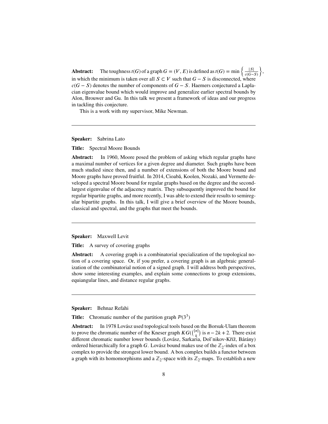**Abstract:** The toughness  $t(G)$  of a graph  $G = (V, E)$  is defined as  $t(G) = \min \left\{ \frac{|S|}{e(G)} \right\}$  $c(G-S)$  $\lambda$ in which the minimum is taken over all  $S \subset V$  such that  $G - S$  is disconnected, where  $c(G - S)$  denotes the number of components of  $G - S$ . Haemers conjectured a Laplacian eigenvalue bound which would improve and generalize earlier spectral bounds by Alon, Brouwer and Gu. In this talk we present a framework of ideas and our progress in tackling this conjecture.

,

This is a work with my supervisor, Mike Newman.

**Speaker:** Sabrina Lato

**Title:** Spectral Moore Bounds

**Abstract:** In 1960, Moore posed the problem of asking which regular graphs have a maximal number of vertices for a given degree and diameter. Such graphs have been much studied since then, and a number of extensions of both the Moore bound and Moore graphs have proved fruitful. In 2014, Cioabă, Koolen, Nozaki, and Vermette developed a spectral Moore bound for regular graphs based on the degree and the secondlargest eigenvalue of the adjacency matrix. They subsequently improved the bound for regular bipartite graphs, and more recently, I was able to extend their results to semiregular bipartite graphs. In this talk, I will give a brief overview of the Moore bounds, classical and spectral, and the graphs that meet the bounds.

**Speaker:** Maxwell Levit

**Title:** A survey of covering graphs

**Abstract:** A covering graph is a combinatorial specialization of the topological notion of a covering space. Or, if you prefer, a covering graph is an algebraic generalization of the combinatorial notion of a signed graph. I will address both perspectives, show some interesting examples, and explain some connections to group extensions, equiangular lines, and distance regular graphs.

**Speaker:** Behnaz Refahi

**Title:** Chromatic number of the partition graph  $P(3^3)$ 

**Abstract:** In 1978 Lovász used topological tools based on the Borsuk-Ulam theorem **EXISTENCE:** In 1976 LOVASZ used topological tools based of the Kneser graph  $KG([n]$ ķ if the Borsuk-Oram diction-<br>) is  $n - 2k + 2$ . There exist different chromatic number lower bounds (Lovász, Sarkaria, Dol'nikov-Kříž, Bárány) ordered hierarchically for a graph G. Lovász bound makes use of the  $\mathbb{Z}_2$ -index of a box complex to provide the strongest lower bound. A box complex builds a functor between a graph with its homomorphisms and a  $\mathbb{Z}_2$ -space with its  $\mathbb{Z}_2$ -maps. To establish a new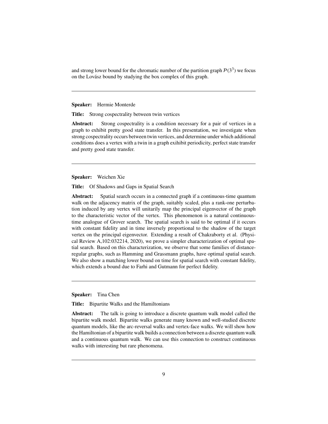and strong lower bound for the chromatic number of the partition graph  $P(3^3)$  we focus on the Lovász bound by studying the box complex of this graph.

**Speaker:** Hermie Monterde

**Title:** Strong cospectrality between twin vertices

Abstract: Strong cospectrality is a condition necessary for a pair of vertices in a graph to exhibit pretty good state transfer. In this presentation, we investigate when strong cospectrality occurs between twin vertices, and determine under which additional conditions does a vertex with a twin in a graph exihibit periodicity, perfect state transfer and pretty good state transfer.

**Speaker:** Weichen Xie

**Title:** Of Shadows and Gaps in Spatial Search

**Abstract:** Spatial search occurs in a connected graph if a continuous-time quantum walk on the adjacency matrix of the graph, suitably scaled, plus a rank-one perturbation induced by any vertex will unitarily map the principal eigenvector of the graph to the characteristic vector of the vertex. This phenomenon is a natural continuoustime analogue of Grover search. The spatial search is said to be optimal if it occurs with constant fidelity and in time inversely proportional to the shadow of the target vertex on the principal eigenvector. Extending a result of Chakraborty et al. (Physical Review A,102:032214, 2020), we prove a simpler characterization of optimal spatial search. Based on this characterization, we observe that some families of distanceregular graphs, such as Hamming and Grassmann graphs, have optimal spatial search. We also show a matching lower bound on time for spatial search with constant fidelity, which extends a bound due to Farhi and Gutmann for perfect fidelity.

**Speaker:** Tina Chen

**Title:** Bipartite Walks and the Hamiltonians

**Abstract:** The talk is going to introduce a discrete quantum walk model called the bipartite walk model. Bipartite walks generate many known and well-studied discrete quantum models, like the arc-reversal walks and vertex-face walks. We will show how the Hamiltonian of a bipartite walk builds a connection between a discrete quantum walk and a continuous quantum walk. We can use this connection to construct continuous walks with interesting but rare phenomena.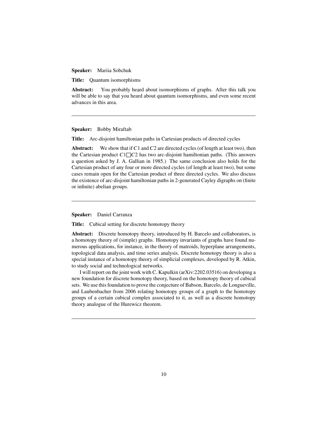**Speaker:** Mariia Sobchuk

**Title:** Quantum isomorphisms

**Abstract:** You probably heard about isomorphisms of graphs. After this talk you will be able to say that you heard about quantum isomorphisms, and even some recent advances in this area.

**Speaker:** Bobby Miraftab

**Title:** Arc-disjoint hamiltonian paths in Cartesian products of directed cycles

**Abstract:** We show that if  $C1$  and  $C2$  are directed cycles (of length at least two), then the Cartesian product  $C1\square C2$  has two arc-disjoint hamiltonian paths. (This answers a question asked by J. A. Gallian in 1985.) The same conclusion also holds for the Cartesian product of any four or more directed cycles (of length at least two), but some cases remain open for the Cartesian product of three directed cycles. We also discuss the existence of arc-disjoint hamiltonian paths in 2-generated Cayley digraphs on (finite or infinite) abelian groups.

**Speaker:** Daniel Carranza

**Title:** Cubical setting for discrete homotopy theory

**Abstract:** Discrete homotopy theory, introduced by H. Barcelo and collaborators, is a homotopy theory of (simple) graphs. Homotopy invariants of graphs have found numerous applications, for instance, in the theory of matroids, hyperplane arrangements, topological data analysis, and time series analysis. Discrete homotopy theory is also a special instance of a homotopy theory of simplicial complexes, developed by R. Atkin, to study social and technological networks.

I will report on the joint work with C. Kapulkin (arXiv:2202.03516) on developing a new foundation for discrete homotopy theory, based on the homotopy theory of cubical sets. We use this foundation to prove the conjecture of Babson, Barcelo, de Longueville, and Laubenbacher from 2006 relating homotopy groups of a graph to the homotopy groups of a certain cubical complex associated to it, as well as a discrete homotopy theory analogue of the Hurewicz theorem.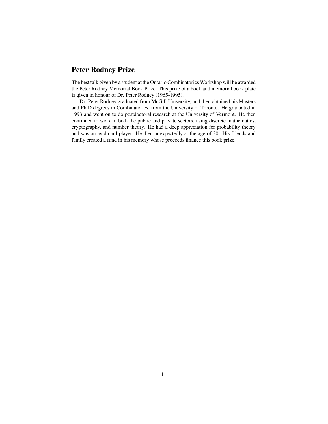## **Peter Rodney Prize**

The best talk given by a student at the Ontario Combinatorics Workshop will be awarded the Peter Rodney Memorial Book Prize. This prize of a book and memorial book plate is given in honour of Dr. Peter Rodney (1965-1995).

Dr. Peter Rodney graduated from McGill University, and then obtained his Masters and Ph.D degrees in Combinatorics, from the University of Toronto. He graduated in 1993 and went on to do postdoctoral research at the University of Vermont. He then continued to work in both the public and private sectors, using discrete mathematics, cryptography, and number theory. He had a deep appreciation for probability theory and was an avid card player. He died unexpectedly at the age of 30. His friends and family created a fund in his memory whose proceeds finance this book prize.